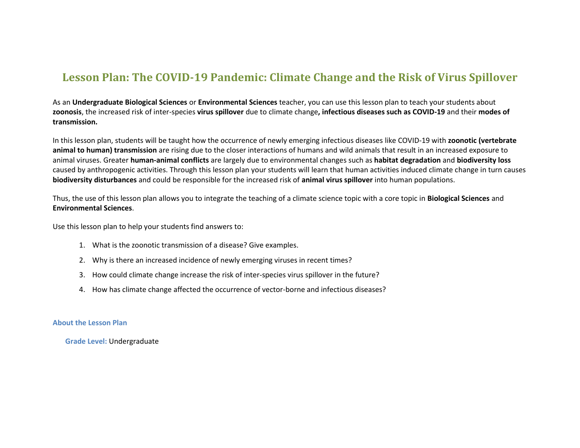### **Lesson Plan: The COVID-19 Pandemic: Climate Change and the Risk of Virus Spillover**

As an **Undergraduate Biological Sciences** or **Environmental Sciences** teacher, you can use this lesson plan to teach your students about **zoonosis**, the increased risk of inter-species **virus spillover** due to climate change**, infectious diseases such as COVID-19** and their **modes of transmission.**

In this lesson plan, students will be taught how the occurrence of newly emerging infectious diseases like COVID-19 with **zoonotic (vertebrate animal to human) transmission** are rising due to the closer interactions of humans and wild animals that result in an increased exposure to animal viruses. Greater **human-animal conflicts** are largely due to environmental changes such as **habitat degradation** and **biodiversity loss** caused by anthropogenic activities. Through this lesson plan your students will learn that human activities induced climate change in turn causes **biodiversity disturbances** and could be responsible for the increased risk of **animal virus spillover** into human populations.

Thus, the use of this lesson plan allows you to integrate the teaching of a climate science topic with a core topic in **Biological Sciences** and **Environmental Sciences**.

Use this lesson plan to help your students find answers to:

- 1. What is the zoonotic transmission of a disease? Give examples.
- 2. Why is there an increased incidence of newly emerging viruses in recent times?
- 3. How could climate change increase the risk of inter-species virus spillover in the future?
- 4. How has climate change affected the occurrence of vector-borne and infectious diseases?

#### **About the Lesson Plan**

**Grade Level:** Undergraduate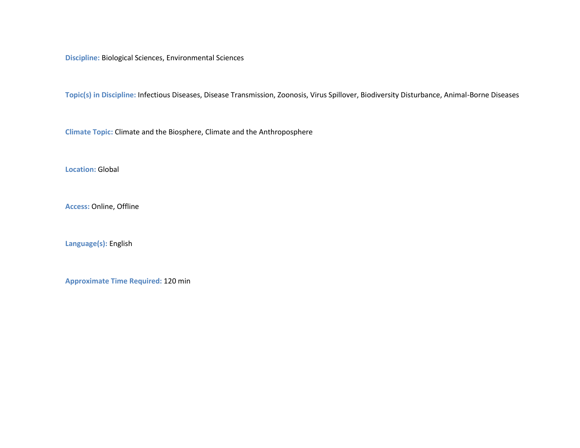**Discipline:** Biological Sciences, Environmental Sciences

**Topic(s) in Discipline:** Infectious Diseases, Disease Transmission, Zoonosis, Virus Spillover, Biodiversity Disturbance, Animal-Borne Diseases

**Climate Topic:** Climate and the Biosphere, Climate and the Anthroposphere

**Location:** Global

**Access:** Online, Offline

**Language(s):** English

**Approximate Time Required:** 120 min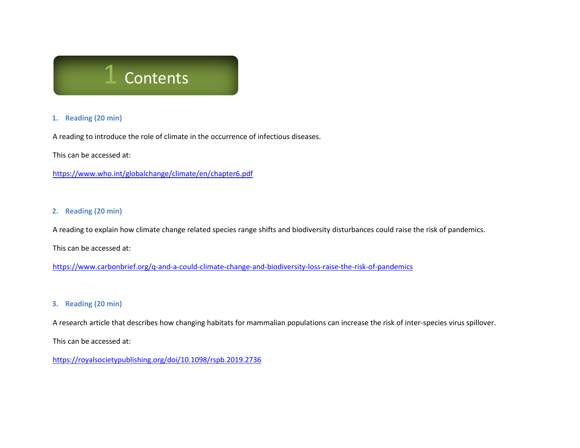## **Contents**

#### **1. Reading (20 min)**

A reading to introduce the role of climate in the occurrence of infectious diseases.

This can be accessed at:

<https://www.who.int/globalchange/climate/en/chapter6.pdf>

#### **2. Reading (20 min)**

A reading to explain how climate change related species range shifts and biodiversity disturbances could raise the risk of pandemics.

This can be accessed at:

<https://www.carbonbrief.org/q-and-a-could-climate-change-and-biodiversity-loss-raise-the-risk-of-pandemics>

#### **3. Reading (20 min)**

A research article that describes how changing habitats for mammalian populations can increase the risk of inter-species virus spillover.

This can be accessed at:

<https://royalsocietypublishing.org/doi/10.1098/rspb.2019.2736>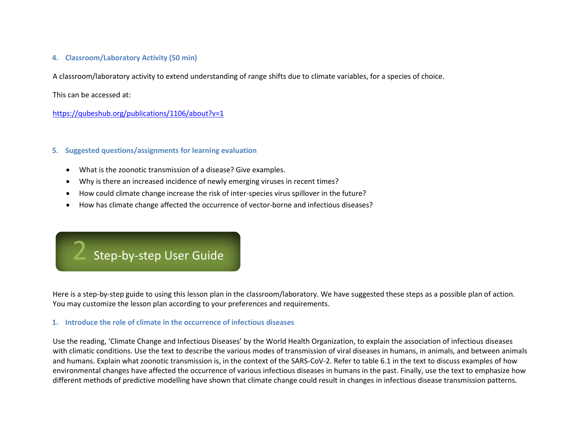#### **4. Classroom/Laboratory Activity (50 min)**

A classroom/laboratory activity to extend understanding of range shifts due to climate variables, for a species of choice.

This can be accessed at:

<https://qubeshub.org/publications/1106/about?v=1>

#### **5. Suggested questions/assignments for learning evaluation**

- What is the zoonotic transmission of a disease? Give examples.
- Why is there an increased incidence of newly emerging viruses in recent times?
- How could climate change increase the risk of inter-species virus spillover in the future?
- How has climate change affected the occurrence of vector-borne and infectious diseases?

## Step-by-step User Guide

Here is a step-by-step guide to using this lesson plan in the classroom/laboratory. We have suggested these steps as a possible plan of action. You may customize the lesson plan according to your preferences and requirements.

#### **1. Introduce the role of climate in the occurrence of infectious diseases**

Use the reading, 'Climate Change and Infectious Diseases' by the World Health Organization, to explain the association of infectious diseases with climatic conditions. Use the text to describe the various modes of transmission of viral diseases in humans, in animals, and between animals and humans. Explain what zoonotic transmission is, in the context of the SARS-CoV-2. Refer to table 6.1 in the text to discuss examples of how environmental changes have affected the occurrence of various infectious diseases in humans in the past. Finally, use the text to emphasize how different methods of predictive modelling have shown that climate change could result in changes in infectious disease transmission patterns.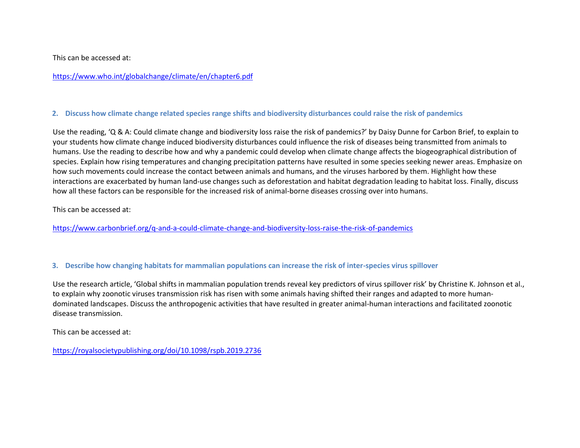This can be accessed at:

<https://www.who.int/globalchange/climate/en/chapter6.pdf>

#### **2. Discuss how climate change related species range shifts and biodiversity disturbances could raise the risk of pandemics**

Use the reading, 'Q & A: Could climate change and biodiversity loss raise the risk of pandemics?' by Daisy Dunne for Carbon Brief, to explain to your students how climate change induced biodiversity disturbances could influence the risk of diseases being transmitted from animals to humans. Use the reading to describe how and why a pandemic could develop when climate change affects the biogeographical distribution of species. Explain how rising temperatures and changing precipitation patterns have resulted in some species seeking newer areas. Emphasize on how such movements could increase the contact between animals and humans, and the viruses harbored by them. Highlight how these interactions are exacerbated by human land-use changes such as deforestation and habitat degradation leading to habitat loss. Finally, discuss how all these factors can be responsible for the increased risk of animal-borne diseases crossing over into humans.

This can be accessed at:

<https://www.carbonbrief.org/q-and-a-could-climate-change-and-biodiversity-loss-raise-the-risk-of-pandemics>

#### **3. Describe how changing habitats for mammalian populations can increase the risk of inter-species virus spillover**

Use the research article, 'Global shifts in mammalian population trends reveal key predictors of virus spillover risk' by Christine K. Johnson et al., to explain why zoonotic viruses transmission risk has risen with some animals having shifted their ranges and adapted to more humandominated landscapes. Discuss the anthropogenic activities that have resulted in greater animal-human interactions and facilitated zoonotic disease transmission.

This can be accessed at:

<https://royalsocietypublishing.org/doi/10.1098/rspb.2019.2736>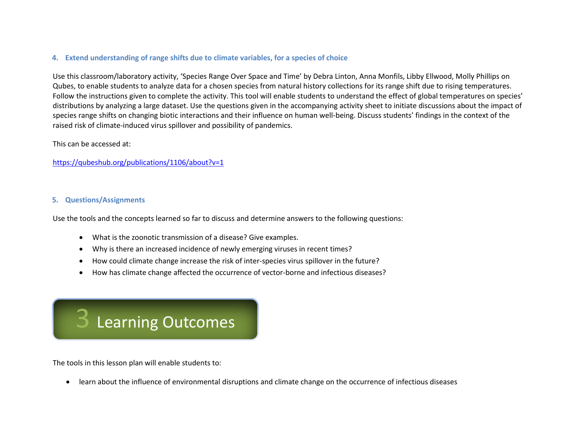#### **4. Extend understanding of range shifts due to climate variables, for a species of choice**

Use this classroom/laboratory activity, 'Species Range Over Space and Time' by Debra Linton, Anna Monfils, Libby Ellwood, Molly Phillips on Qubes, to enable students to analyze data for a chosen species from natural history collections for its range shift due to rising temperatures. Follow the instructions given to complete the activity. This tool will enable students to understand the effect of global temperatures on species' distributions by analyzing a large dataset. Use the questions given in the accompanying activity sheet to initiate discussions about the impact of species range shifts on changing biotic interactions and their influence on human well-being. Discuss students' findings in the context of the raised risk of climate-induced virus spillover and possibility of pandemics.

#### This can be accessed at:

<https://qubeshub.org/publications/1106/about?v=1>

#### **5. Questions/Assignments**

Use the tools and the concepts learned so far to discuss and determine answers to the following questions:

- What is the zoonotic transmission of a disease? Give examples.
- Why is there an increased incidence of newly emerging viruses in recent times?
- How could climate change increase the risk of inter-species virus spillover in the future?
- How has climate change affected the occurrence of vector-borne and infectious diseases?

# **Learning Outcomes**

The tools in this lesson plan will enable students to:

• learn about the influence of environmental disruptions and climate change on the occurrence of infectious diseases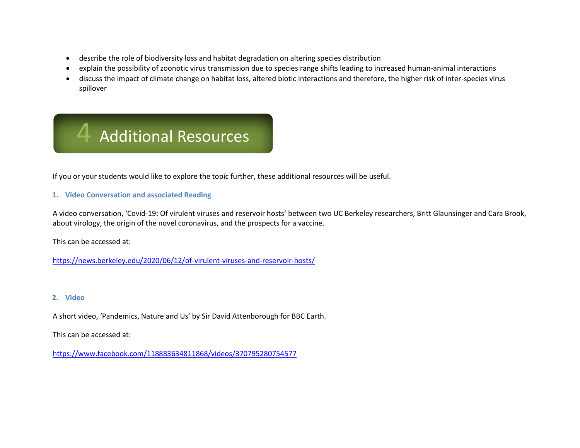- describe the role of biodiversity loss and habitat degradation on altering species distribution
- explain the possibility of zoonotic virus transmission due to species range shifts leading to increased human-animal interactions
- discuss the impact of climate change on habitat loss, altered biotic interactions and therefore, the higher risk of inter-species virus spillover



If you or your students would like to explore the topic further, these additional resources will be useful.

#### **1. Video Conversation and associated Reading**

A video conversation, 'Covid-19: Of virulent viruses and reservoir hosts' between two UC Berkeley researchers, Britt Glaunsinger and Cara Brook, about virology, the origin of the novel coronavirus, and the prospects for a vaccine.

This can be accessed at:

<https://news.berkeley.edu/2020/06/12/of-virulent-viruses-and-reservoir-hosts/>

#### **2. Video**

A short video, 'Pandemics, Nature and Us' by Sir David Attenborough for BBC Earth.

This can be accessed at:

<https://www.facebook.com/118883634811868/videos/370795280754577>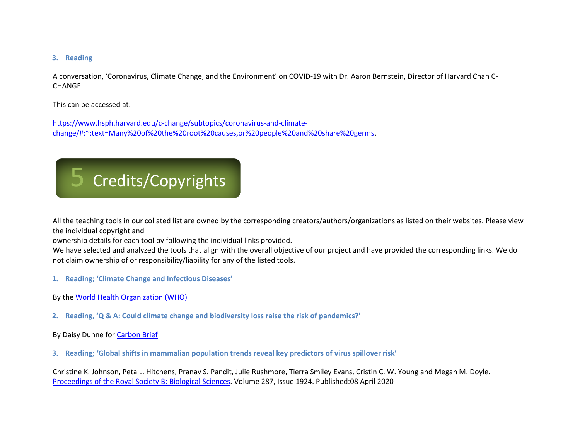#### **3. Reading**

A conversation, 'Coronavirus, Climate Change, and the Environment' on COVID-19 with Dr. Aaron Bernstein, Director of Harvard Chan C-CHANGE.

This can be accessed at:

[https://www.hsph.harvard.edu/c-change/subtopics/coronavirus-and-climate](https://www.hsph.harvard.edu/c-change/subtopics/coronavirus-and-climate-change/#:~:text=Many%20of%20the%20root%20causes,or%20people%20and%20share%20germs)[change/#:~:text=Many%20of%20the%20root%20causes,or%20people%20and%20share%20germs.](https://www.hsph.harvard.edu/c-change/subtopics/coronavirus-and-climate-change/#:~:text=Many%20of%20the%20root%20causes,or%20people%20and%20share%20germs)

# 5 Credits/Copyrights

All the teaching tools in our collated list are owned by the corresponding creators/authors/organizations as listed on their websites. Please view the individual copyright and

ownership details for each tool by following the individual links provided.

We have selected and analyzed the tools that align with the overall objective of our project and have provided the corresponding links. We do not claim ownership of or responsibility/liability for any of the listed tools.

- **1. Reading; 'Climate Change and Infectious Diseases'**
- By the [World Health Organization \(WHO\)](https://www.who.int/)
- **2. Reading, 'Q & A: Could climate change and biodiversity loss raise the risk of pandemics?'**

By Daisy Dunne for [Carbon Brief](https://www.carbonbrief.org/)

**3. Reading; 'Global shifts in mammalian population trends reveal key predictors of virus spillover risk'**

Christine K. Johnson, Peta L. Hitchens, Pranav S. Pandit, Julie Rushmore, Tierra Smiley Evans, Cristin C. W. Young and Megan M. Doyle. [Proceedings of the Royal Society B: Biological Sciences.](https://royalsociety.org/journals/) Volume 287, Issue 1924. Published:08 April 2020